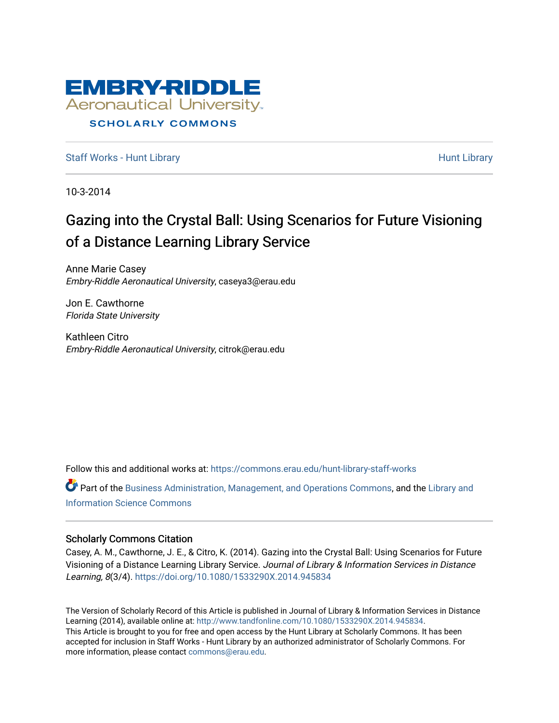

### **SCHOLARLY COMMONS**

[Staff Works - Hunt Library](https://commons.erau.edu/hunt-library-staff-works) **[Hunt Library](https://commons.erau.edu/hunt-library) Staff Works - Hunt Library** Hunt Library

10-3-2014

# Gazing into the Crystal Ball: Using Scenarios for Future Visioning of a Distance Learning Library Service

Anne Marie Casey Embry-Riddle Aeronautical University, caseya3@erau.edu

Jon E. Cawthorne Florida State University

Kathleen Citro Embry-Riddle Aeronautical University, citrok@erau.edu

Follow this and additional works at: [https://commons.erau.edu/hunt-library-staff-works](https://commons.erau.edu/hunt-library-staff-works?utm_source=commons.erau.edu%2Fhunt-library-staff-works%2F12&utm_medium=PDF&utm_campaign=PDFCoverPages)

Part of the [Business Administration, Management, and Operations Commons](http://network.bepress.com/hgg/discipline/623?utm_source=commons.erau.edu%2Fhunt-library-staff-works%2F12&utm_medium=PDF&utm_campaign=PDFCoverPages), and the Library and [Information Science Commons](http://network.bepress.com/hgg/discipline/1018?utm_source=commons.erau.edu%2Fhunt-library-staff-works%2F12&utm_medium=PDF&utm_campaign=PDFCoverPages) 

#### Scholarly Commons Citation

Casey, A. M., Cawthorne, J. E., & Citro, K. (2014). Gazing into the Crystal Ball: Using Scenarios for Future Visioning of a Distance Learning Library Service. Journal of Library & Information Services in Distance Learning, 8(3/4). <https://doi.org/10.1080/1533290X.2014.945834>

The Version of Scholarly Record of this Article is published in Journal of Library & Information Services in Distance Learning (2014), available online at: [http://www.tandfonline.com/10.1080/1533290X.2014.945834.](http://www.tandfonline.com/10.1080/1533290X.2014.945834) This Article is brought to you for free and open access by the Hunt Library at Scholarly Commons. It has been accepted for inclusion in Staff Works - Hunt Library by an authorized administrator of Scholarly Commons. For more information, please contact [commons@erau.edu.](mailto:commons@erau.edu)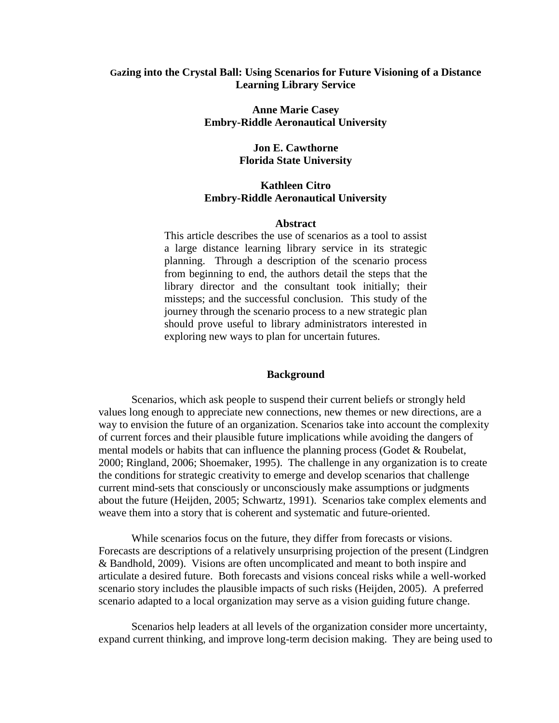### **Gazing into the Crystal Ball: Using Scenarios for Future Visioning of a Distance Learning Library Service**

**Anne Marie Casey Embry-Riddle Aeronautical University**

### **Jon E. Cawthorne Florida State University**

### **Kathleen Citro Embry-Riddle Aeronautical University**

#### **Abstract**

This article describes the use of scenarios as a tool to assist a large distance learning library service in its strategic planning. Through a description of the scenario process from beginning to end, the authors detail the steps that the library director and the consultant took initially; their missteps; and the successful conclusion. This study of the journey through the scenario process to a new strategic plan should prove useful to library administrators interested in exploring new ways to plan for uncertain futures.

#### **Background**

Scenarios, which ask people to suspend their current beliefs or strongly held values long enough to appreciate new connections, new themes or new directions, are a way to envision the future of an organization. Scenarios take into account the complexity of current forces and their plausible future implications while avoiding the dangers of mental models or habits that can influence the planning process (Godet & Roubelat, 2000; Ringland, 2006; Shoemaker, 1995). The challenge in any organization is to create the conditions for strategic creativity to emerge and develop scenarios that challenge current mind-sets that consciously or unconsciously make assumptions or judgments about the future (Heijden, 2005; Schwartz, 1991). Scenarios take complex elements and weave them into a story that is coherent and systematic and future-oriented.

While scenarios focus on the future, they differ from forecasts or visions. Forecasts are descriptions of a relatively unsurprising projection of the present (Lindgren & Bandhold, 2009). Visions are often uncomplicated and meant to both inspire and articulate a desired future. Both forecasts and visions conceal risks while a well-worked scenario story includes the plausible impacts of such risks (Heijden, 2005). A preferred scenario adapted to a local organization may serve as a vision guiding future change.

Scenarios help leaders at all levels of the organization consider more uncertainty, expand current thinking, and improve long-term decision making. They are being used to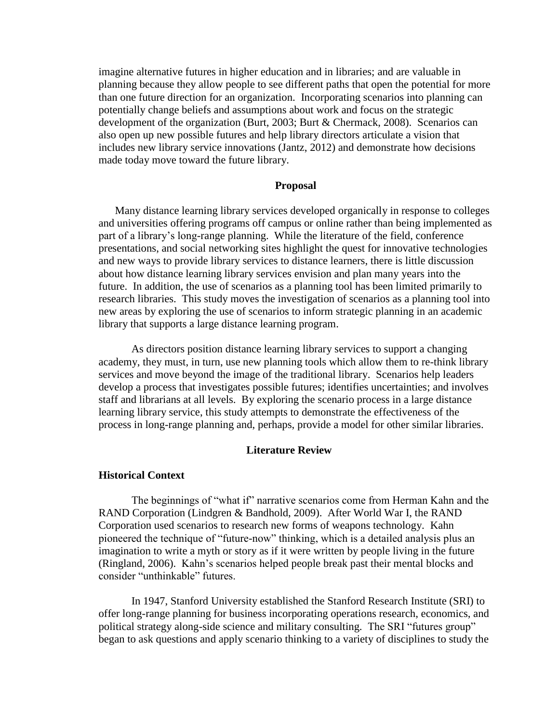imagine alternative futures in higher education and in libraries; and are valuable in planning because they allow people to see different paths that open the potential for more than one future direction for an organization. Incorporating scenarios into planning can potentially change beliefs and assumptions about work and focus on the strategic development of the organization (Burt, 2003; Burt & Chermack, 2008). Scenarios can also open up new possible futures and help library directors articulate a vision that includes new library service innovations (Jantz, 2012) and demonstrate how decisions made today move toward the future library.

#### **Proposal**

Many distance learning library services developed organically in response to colleges and universities offering programs off campus or online rather than being implemented as part of a library's long-range planning. While the literature of the field, conference presentations, and social networking sites highlight the quest for innovative technologies and new ways to provide library services to distance learners, there is little discussion about how distance learning library services envision and plan many years into the future. In addition, the use of scenarios as a planning tool has been limited primarily to research libraries. This study moves the investigation of scenarios as a planning tool into new areas by exploring the use of scenarios to inform strategic planning in an academic library that supports a large distance learning program.

As directors position distance learning library services to support a changing academy, they must, in turn, use new planning tools which allow them to re-think library services and move beyond the image of the traditional library. Scenarios help leaders develop a process that investigates possible futures; identifies uncertainties; and involves staff and librarians at all levels. By exploring the scenario process in a large distance learning library service, this study attempts to demonstrate the effectiveness of the process in long-range planning and, perhaps, provide a model for other similar libraries.

#### **Literature Review**

#### **Historical Context**

The beginnings of "what if" narrative scenarios come from Herman Kahn and the RAND Corporation (Lindgren & Bandhold, 2009). After World War I, the RAND Corporation used scenarios to research new forms of weapons technology. Kahn pioneered the technique of "future-now" thinking, which is a detailed analysis plus an imagination to write a myth or story as if it were written by people living in the future (Ringland, 2006). Kahn's scenarios helped people break past their mental blocks and consider "unthinkable" futures.

In 1947, Stanford University established the Stanford Research Institute (SRI) to offer long-range planning for business incorporating operations research, economics, and political strategy along-side science and military consulting. The SRI "futures group" began to ask questions and apply scenario thinking to a variety of disciplines to study the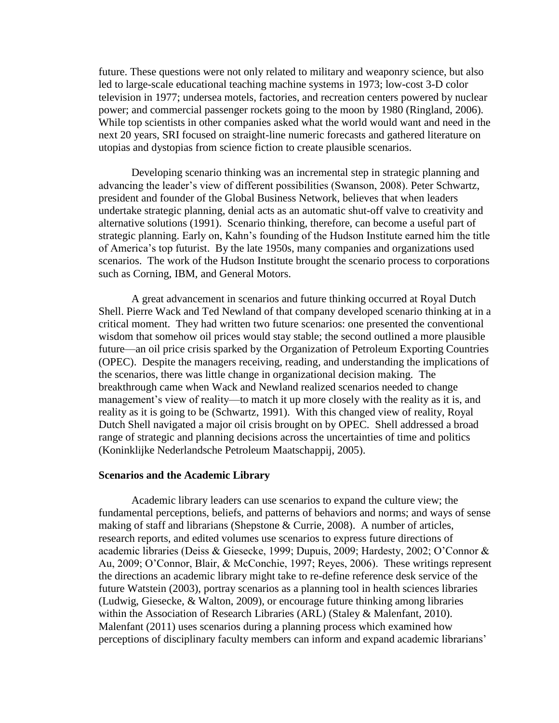future. These questions were not only related to military and weaponry science, but also led to large-scale educational teaching machine systems in 1973; low-cost 3-D color television in 1977; undersea motels, factories, and recreation centers powered by nuclear power; and commercial passenger rockets going to the moon by 1980 (Ringland, 2006). While top scientists in other companies asked what the world would want and need in the next 20 years, SRI focused on straight-line numeric forecasts and gathered literature on utopias and dystopias from science fiction to create plausible scenarios.

Developing scenario thinking was an incremental step in strategic planning and advancing the leader's view of different possibilities (Swanson, 2008). Peter Schwartz, president and founder of the Global Business Network, believes that when leaders undertake strategic planning, denial acts as an automatic shut-off valve to creativity and alternative solutions (1991). Scenario thinking, therefore, can become a useful part of strategic planning. Early on, Kahn's founding of the Hudson Institute earned him the title of America's top futurist. By the late 1950s, many companies and organizations used scenarios. The work of the Hudson Institute brought the scenario process to corporations such as Corning, IBM, and General Motors.

A great advancement in scenarios and future thinking occurred at Royal Dutch Shell. Pierre Wack and Ted Newland of that company developed scenario thinking at in a critical moment. They had written two future scenarios: one presented the conventional wisdom that somehow oil prices would stay stable; the second outlined a more plausible future—an oil price crisis sparked by the Organization of Petroleum Exporting Countries (OPEC). Despite the managers receiving, reading, and understanding the implications of the scenarios, there was little change in organizational decision making. The breakthrough came when Wack and Newland realized scenarios needed to change management's view of reality—to match it up more closely with the reality as it is, and reality as it is going to be (Schwartz, 1991). With this changed view of reality, Royal Dutch Shell navigated a major oil crisis brought on by OPEC. Shell addressed a broad range of strategic and planning decisions across the uncertainties of time and politics (Koninklijke Nederlandsche Petroleum Maatschappij, 2005).

#### **Scenarios and the Academic Library**

Academic library leaders can use scenarios to expand the culture view; the fundamental perceptions, beliefs, and patterns of behaviors and norms; and ways of sense making of staff and librarians (Shepstone & Currie, 2008). A number of articles, research reports, and edited volumes use scenarios to express future directions of academic libraries (Deiss & Giesecke, 1999; Dupuis, 2009; Hardesty, 2002; O'Connor & Au, 2009; O'Connor, Blair, & McConchie, 1997; Reyes, 2006). These writings represent the directions an academic library might take to re-define reference desk service of the future Watstein (2003), portray scenarios as a planning tool in health sciences libraries (Ludwig, Giesecke, & Walton, 2009), or encourage future thinking among libraries within the Association of Research Libraries (ARL) (Staley & Malenfant, 2010). Malenfant (2011) uses scenarios during a planning process which examined how perceptions of disciplinary faculty members can inform and expand academic librarians'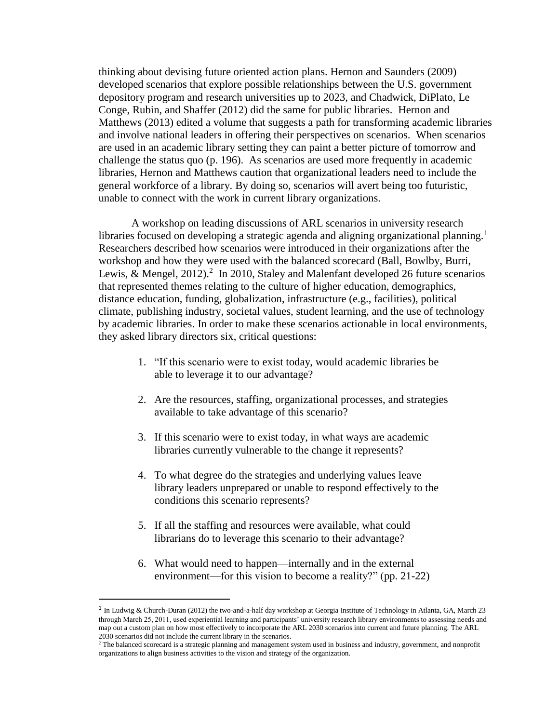thinking about devising future oriented action plans. Hernon and Saunders (2009) developed scenarios that explore possible relationships between the U.S. government depository program and research universities up to 2023, and Chadwick, DiPlato, Le Conge, Rubin, and Shaffer (2012) did the same for public libraries. Hernon and Matthews (2013) edited a volume that suggests a path for transforming academic libraries and involve national leaders in offering their perspectives on scenarios. When scenarios are used in an academic library setting they can paint a better picture of tomorrow and challenge the status quo (p. 196). As scenarios are used more frequently in academic libraries, Hernon and Matthews caution that organizational leaders need to include the general workforce of a library. By doing so, scenarios will avert being too futuristic, unable to connect with the work in current library organizations.

A workshop on leading discussions of ARL scenarios in university research libraries focused on developing a strategic agenda and aligning organizational planning.<sup>1</sup> Researchers described how scenarios were introduced in their organizations after the workshop and how they were used with the balanced scorecard (Ball, Bowlby, Burri, Lewis, & Mengel,  $2012$ ).<sup>2</sup> In 2010, Staley and Malenfant developed 26 future scenarios that represented themes relating to the culture of higher education, demographics, distance education, funding, globalization, infrastructure (e.g., facilities), political climate, publishing industry, societal values, student learning, and the use of technology by academic libraries. In order to make these scenarios actionable in local environments, they asked library directors six, critical questions:

- 1. "If this scenario were to exist today, would academic libraries be able to leverage it to our advantage?
- 2. Are the resources, staffing, organizational processes, and strategies available to take advantage of this scenario?
- 3. If this scenario were to exist today, in what ways are academic libraries currently vulnerable to the change it represents?
- 4. To what degree do the strategies and underlying values leave library leaders unprepared or unable to respond effectively to the conditions this scenario represents?
- 5. If all the staffing and resources were available, what could librarians do to leverage this scenario to their advantage?

 $\overline{a}$ 

6. What would need to happen—internally and in the external environment—for this vision to become a reality?" (pp. 21-22)

<sup>&</sup>lt;sup>1</sup> In Ludwig & Church-Duran (2012) the two-and-a-half day workshop at Georgia Institute of Technology in Atlanta, GA, March 23 through March 25, 2011, used experiential learning and participants' university research library environments to assessing needs and map out a custom plan on how most effectively to incorporate the ARL 2030 scenarios into current and future planning. The ARL 2030 scenarios did not include the current library in the scenarios.

<sup>&</sup>lt;sup>2</sup> The balanced scorecard is a strategic planning and management system used in business and industry, government, and nonprofit organizations to align business activities to the vision and strategy of the organization.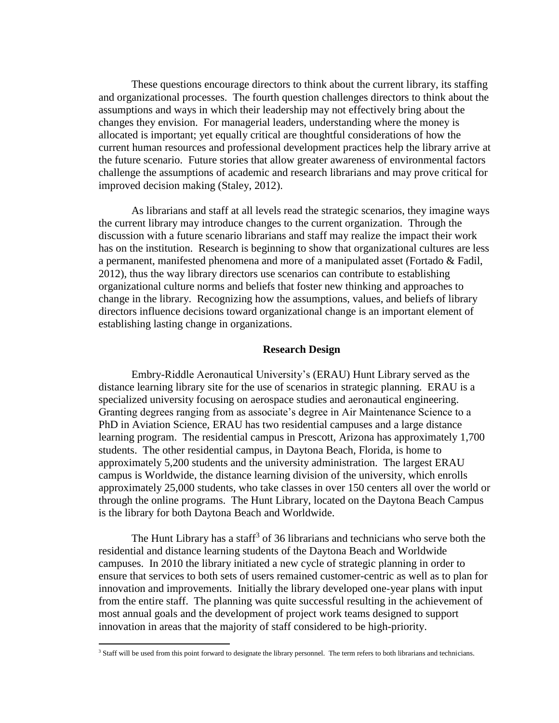These questions encourage directors to think about the current library, its staffing and organizational processes. The fourth question challenges directors to think about the assumptions and ways in which their leadership may not effectively bring about the changes they envision. For managerial leaders, understanding where the money is allocated is important; yet equally critical are thoughtful considerations of how the current human resources and professional development practices help the library arrive at the future scenario. Future stories that allow greater awareness of environmental factors challenge the assumptions of academic and research librarians and may prove critical for improved decision making (Staley, 2012).

As librarians and staff at all levels read the strategic scenarios, they imagine ways the current library may introduce changes to the current organization. Through the discussion with a future scenario librarians and staff may realize the impact their work has on the institution. Research is beginning to show that organizational cultures are less a permanent, manifested phenomena and more of a manipulated asset (Fortado & Fadil, 2012), thus the way library directors use scenarios can contribute to establishing organizational culture norms and beliefs that foster new thinking and approaches to change in the library. Recognizing how the assumptions, values, and beliefs of library directors influence decisions toward organizational change is an important element of establishing lasting change in organizations.

#### **Research Design**

Embry-Riddle Aeronautical University's (ERAU) Hunt Library served as the distance learning library site for the use of scenarios in strategic planning. ERAU is a specialized university focusing on aerospace studies and aeronautical engineering. Granting degrees ranging from as associate's degree in Air Maintenance Science to a PhD in Aviation Science, ERAU has two residential campuses and a large distance learning program. The residential campus in Prescott, Arizona has approximately 1,700 students. The other residential campus, in Daytona Beach, Florida, is home to approximately 5,200 students and the university administration. The largest ERAU campus is Worldwide, the distance learning division of the university, which enrolls approximately 25,000 students, who take classes in over 150 centers all over the world or through the online programs. The Hunt Library, located on the Daytona Beach Campus is the library for both Daytona Beach and Worldwide.

The Hunt Library has a staff<sup>3</sup> of  $36$  librarians and technicians who serve both the residential and distance learning students of the Daytona Beach and Worldwide campuses. In 2010 the library initiated a new cycle of strategic planning in order to ensure that services to both sets of users remained customer-centric as well as to plan for innovation and improvements. Initially the library developed one-year plans with input from the entire staff. The planning was quite successful resulting in the achievement of most annual goals and the development of project work teams designed to support innovation in areas that the majority of staff considered to be high-priority.

 $\overline{\phantom{a}}$ 

<sup>&</sup>lt;sup>3</sup> Staff will be used from this point forward to designate the library personnel. The term refers to both librarians and technicians.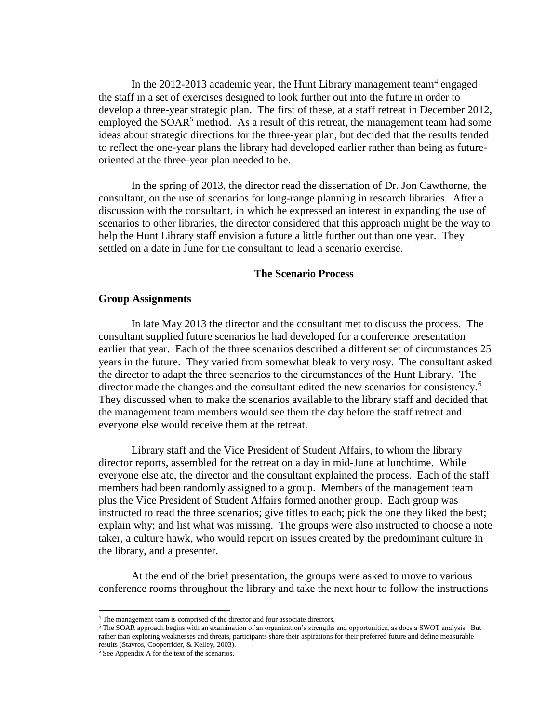In the 2012-2013 academic year, the Hunt Library management team<sup>4</sup> engaged the staff in a set of exercises designed to look further out into the future in order to develop a three-year strategic plan. The first of these, at a staff retreat in December 2012, employed the  $SOAR<sup>5</sup>$  method. As a result of this retreat, the management team had some ideas about strategic directions for the three-year plan, but decided that the results tended to reflect the one-year plans the library had developed earlier rather than being as futureoriented at the three-year plan needed to be.

In the spring of 2013, the director read the dissertation of Dr. Jon Cawthorne, the consultant, on the use of scenarios for long-range planning in research libraries. After a discussion with the consultant, in which he expressed an interest in expanding the use of scenarios to other libraries, the director considered that this approach might be the way to help the Hunt Library staff envision a future a little further out than one year. They settled on a date in June for the consultant to lead a scenario exercise.

### **The Scenario Process**

#### **Group Assignments**

In late May 2013 the director and the consultant met to discuss the process. The consultant supplied future scenarios he had developed for a conference presentation earlier that year. Each of the three scenarios described a different set of circumstances 25 years in the future. They varied from somewhat bleak to very rosy. The consultant asked the director to adapt the three scenarios to the circumstances of the Hunt Library. The director made the changes and the consultant edited the new scenarios for consistency.<sup>6</sup> They discussed when to make the scenarios available to the library staff and decided that the management team members would see them the day before the staff retreat and everyone else would receive them at the retreat.

Library staff and the Vice President of Student Affairs, to whom the library director reports, assembled for the retreat on a day in mid-June at lunchtime. While everyone else ate, the director and the consultant explained the process. Each of the staff members had been randomly assigned to a group. Members of the management team plus the Vice President of Student Affairs formed another group. Each group was instructed to read the three scenarios; give titles to each; pick the one they liked the best; explain why; and list what was missing. The groups were also instructed to choose a note taker, a culture hawk, who would report on issues created by the predominant culture in the library, and a presenter.

At the end of the brief presentation, the groups were asked to move to various conference rooms throughout the library and take the next hour to follow the instructions

 $\overline{\phantom{a}}$ 

<sup>&</sup>lt;sup>4</sup> The management team is comprised of the director and four associate directors.

<sup>5</sup> The SOAR approach begins with an examination of an organization's strengths and opportunities, as does a SWOT analysis. But rather than exploring weaknesses and threats, participants share their aspirations for their preferred future and define measurable results (Stavros, Cooperrider, & Kelley, 2003).

<sup>&</sup>lt;sup>6</sup> See Appendix A for the text of the scenarios.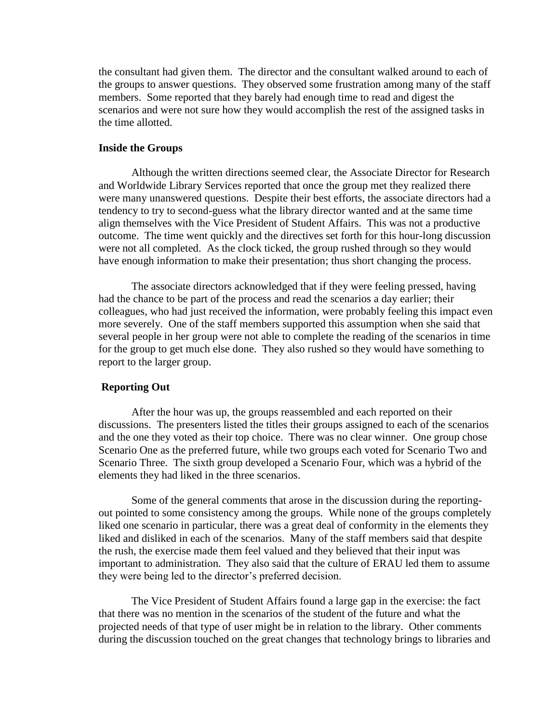the consultant had given them. The director and the consultant walked around to each of the groups to answer questions. They observed some frustration among many of the staff members. Some reported that they barely had enough time to read and digest the scenarios and were not sure how they would accomplish the rest of the assigned tasks in the time allotted.

#### **Inside the Groups**

Although the written directions seemed clear, the Associate Director for Research and Worldwide Library Services reported that once the group met they realized there were many unanswered questions. Despite their best efforts, the associate directors had a tendency to try to second-guess what the library director wanted and at the same time align themselves with the Vice President of Student Affairs. This was not a productive outcome. The time went quickly and the directives set forth for this hour-long discussion were not all completed. As the clock ticked, the group rushed through so they would have enough information to make their presentation; thus short changing the process.

The associate directors acknowledged that if they were feeling pressed, having had the chance to be part of the process and read the scenarios a day earlier; their colleagues, who had just received the information, were probably feeling this impact even more severely. One of the staff members supported this assumption when she said that several people in her group were not able to complete the reading of the scenarios in time for the group to get much else done. They also rushed so they would have something to report to the larger group.

#### **Reporting Out**

After the hour was up, the groups reassembled and each reported on their discussions. The presenters listed the titles their groups assigned to each of the scenarios and the one they voted as their top choice. There was no clear winner. One group chose Scenario One as the preferred future, while two groups each voted for Scenario Two and Scenario Three. The sixth group developed a Scenario Four, which was a hybrid of the elements they had liked in the three scenarios.

Some of the general comments that arose in the discussion during the reportingout pointed to some consistency among the groups. While none of the groups completely liked one scenario in particular, there was a great deal of conformity in the elements they liked and disliked in each of the scenarios. Many of the staff members said that despite the rush, the exercise made them feel valued and they believed that their input was important to administration. They also said that the culture of ERAU led them to assume they were being led to the director's preferred decision.

The Vice President of Student Affairs found a large gap in the exercise: the fact that there was no mention in the scenarios of the student of the future and what the projected needs of that type of user might be in relation to the library. Other comments during the discussion touched on the great changes that technology brings to libraries and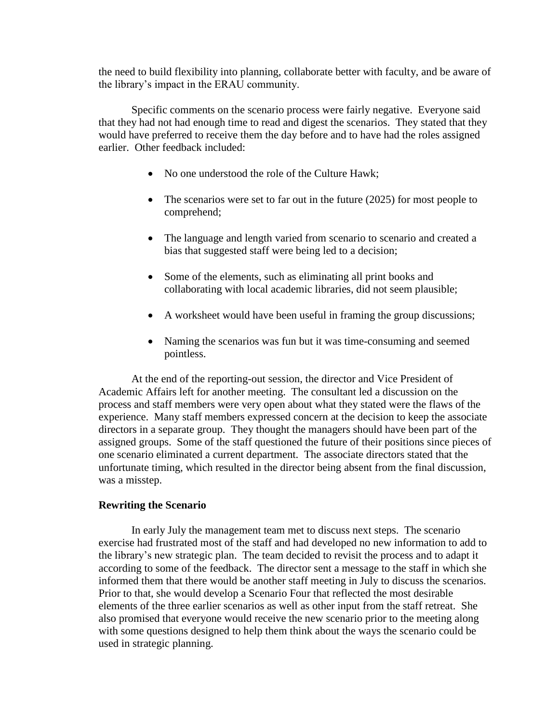the need to build flexibility into planning, collaborate better with faculty, and be aware of the library's impact in the ERAU community.

Specific comments on the scenario process were fairly negative. Everyone said that they had not had enough time to read and digest the scenarios. They stated that they would have preferred to receive them the day before and to have had the roles assigned earlier. Other feedback included:

- No one understood the role of the Culture Hawk;
- The scenarios were set to far out in the future (2025) for most people to comprehend;
- The language and length varied from scenario to scenario and created a bias that suggested staff were being led to a decision;
- Some of the elements, such as eliminating all print books and collaborating with local academic libraries, did not seem plausible;
- A worksheet would have been useful in framing the group discussions;
- Naming the scenarios was fun but it was time-consuming and seemed pointless.

At the end of the reporting-out session, the director and Vice President of Academic Affairs left for another meeting. The consultant led a discussion on the process and staff members were very open about what they stated were the flaws of the experience. Many staff members expressed concern at the decision to keep the associate directors in a separate group. They thought the managers should have been part of the assigned groups. Some of the staff questioned the future of their positions since pieces of one scenario eliminated a current department. The associate directors stated that the unfortunate timing, which resulted in the director being absent from the final discussion, was a misstep.

### **Rewriting the Scenario**

In early July the management team met to discuss next steps. The scenario exercise had frustrated most of the staff and had developed no new information to add to the library's new strategic plan. The team decided to revisit the process and to adapt it according to some of the feedback. The director sent a message to the staff in which she informed them that there would be another staff meeting in July to discuss the scenarios. Prior to that, she would develop a Scenario Four that reflected the most desirable elements of the three earlier scenarios as well as other input from the staff retreat. She also promised that everyone would receive the new scenario prior to the meeting along with some questions designed to help them think about the ways the scenario could be used in strategic planning.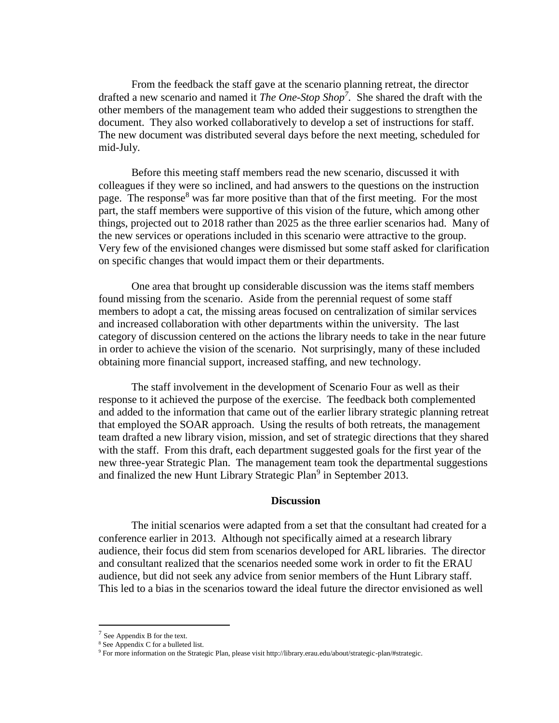From the feedback the staff gave at the scenario planning retreat, the director drafted a new scenario and named it *The One-Stop Shop<sup>7</sup> .* She shared the draft with the other members of the management team who added their suggestions to strengthen the document. They also worked collaboratively to develop a set of instructions for staff. The new document was distributed several days before the next meeting, scheduled for mid-July.

Before this meeting staff members read the new scenario, discussed it with colleagues if they were so inclined, and had answers to the questions on the instruction page. The response<sup>8</sup> was far more positive than that of the first meeting. For the most part, the staff members were supportive of this vision of the future, which among other things, projected out to 2018 rather than 2025 as the three earlier scenarios had. Many of the new services or operations included in this scenario were attractive to the group. Very few of the envisioned changes were dismissed but some staff asked for clarification on specific changes that would impact them or their departments.

One area that brought up considerable discussion was the items staff members found missing from the scenario. Aside from the perennial request of some staff members to adopt a cat, the missing areas focused on centralization of similar services and increased collaboration with other departments within the university. The last category of discussion centered on the actions the library needs to take in the near future in order to achieve the vision of the scenario. Not surprisingly, many of these included obtaining more financial support, increased staffing, and new technology.

The staff involvement in the development of Scenario Four as well as their response to it achieved the purpose of the exercise. The feedback both complemented and added to the information that came out of the earlier library strategic planning retreat that employed the SOAR approach. Using the results of both retreats, the management team drafted a new library vision, mission, and set of strategic directions that they shared with the staff. From this draft, each department suggested goals for the first year of the new three-year Strategic Plan. The management team took the departmental suggestions and finalized the new Hunt Library Strategic Plan<sup>9</sup> in September 2013.

#### **Discussion**

The initial scenarios were adapted from a set that the consultant had created for a conference earlier in 2013. Although not specifically aimed at a research library audience, their focus did stem from scenarios developed for ARL libraries. The director and consultant realized that the scenarios needed some work in order to fit the ERAU audience, but did not seek any advice from senior members of the Hunt Library staff. This led to a bias in the scenarios toward the ideal future the director envisioned as well

 $\overline{\phantom{a}}$ 

 $7$  See Appendix B for the text.

<sup>&</sup>lt;sup>8</sup> See Appendix C for a bulleted list.

<sup>9</sup> For more information on the Strategic Plan, please visit http://library.erau.edu/about/strategic-plan/#strategic.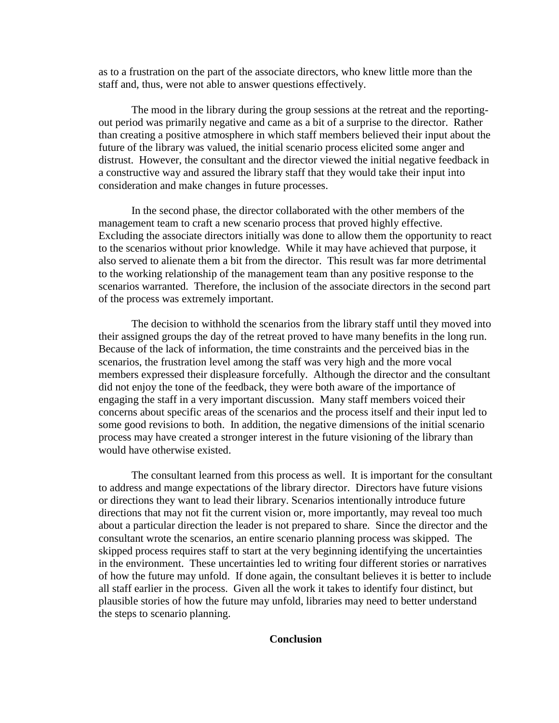as to a frustration on the part of the associate directors, who knew little more than the staff and, thus, were not able to answer questions effectively.

The mood in the library during the group sessions at the retreat and the reportingout period was primarily negative and came as a bit of a surprise to the director. Rather than creating a positive atmosphere in which staff members believed their input about the future of the library was valued, the initial scenario process elicited some anger and distrust. However, the consultant and the director viewed the initial negative feedback in a constructive way and assured the library staff that they would take their input into consideration and make changes in future processes.

In the second phase, the director collaborated with the other members of the management team to craft a new scenario process that proved highly effective. Excluding the associate directors initially was done to allow them the opportunity to react to the scenarios without prior knowledge. While it may have achieved that purpose, it also served to alienate them a bit from the director. This result was far more detrimental to the working relationship of the management team than any positive response to the scenarios warranted. Therefore, the inclusion of the associate directors in the second part of the process was extremely important.

The decision to withhold the scenarios from the library staff until they moved into their assigned groups the day of the retreat proved to have many benefits in the long run. Because of the lack of information, the time constraints and the perceived bias in the scenarios, the frustration level among the staff was very high and the more vocal members expressed their displeasure forcefully. Although the director and the consultant did not enjoy the tone of the feedback, they were both aware of the importance of engaging the staff in a very important discussion. Many staff members voiced their concerns about specific areas of the scenarios and the process itself and their input led to some good revisions to both. In addition, the negative dimensions of the initial scenario process may have created a stronger interest in the future visioning of the library than would have otherwise existed.

The consultant learned from this process as well. It is important for the consultant to address and mange expectations of the library director. Directors have future visions or directions they want to lead their library. Scenarios intentionally introduce future directions that may not fit the current vision or, more importantly, may reveal too much about a particular direction the leader is not prepared to share. Since the director and the consultant wrote the scenarios, an entire scenario planning process was skipped. The skipped process requires staff to start at the very beginning identifying the uncertainties in the environment. These uncertainties led to writing four different stories or narratives of how the future may unfold. If done again, the consultant believes it is better to include all staff earlier in the process. Given all the work it takes to identify four distinct, but plausible stories of how the future may unfold, libraries may need to better understand the steps to scenario planning.

#### **Conclusion**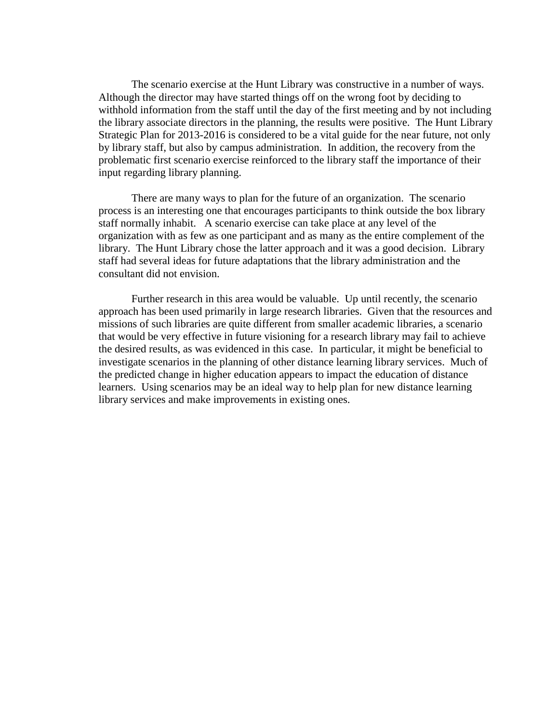The scenario exercise at the Hunt Library was constructive in a number of ways. Although the director may have started things off on the wrong foot by deciding to withhold information from the staff until the day of the first meeting and by not including the library associate directors in the planning, the results were positive. The Hunt Library Strategic Plan for 2013-2016 is considered to be a vital guide for the near future, not only by library staff, but also by campus administration. In addition, the recovery from the problematic first scenario exercise reinforced to the library staff the importance of their input regarding library planning.

There are many ways to plan for the future of an organization. The scenario process is an interesting one that encourages participants to think outside the box library staff normally inhabit. A scenario exercise can take place at any level of the organization with as few as one participant and as many as the entire complement of the library. The Hunt Library chose the latter approach and it was a good decision. Library staff had several ideas for future adaptations that the library administration and the consultant did not envision.

Further research in this area would be valuable. Up until recently, the scenario approach has been used primarily in large research libraries. Given that the resources and missions of such libraries are quite different from smaller academic libraries, a scenario that would be very effective in future visioning for a research library may fail to achieve the desired results, as was evidenced in this case. In particular, it might be beneficial to investigate scenarios in the planning of other distance learning library services. Much of the predicted change in higher education appears to impact the education of distance learners. Using scenarios may be an ideal way to help plan for new distance learning library services and make improvements in existing ones.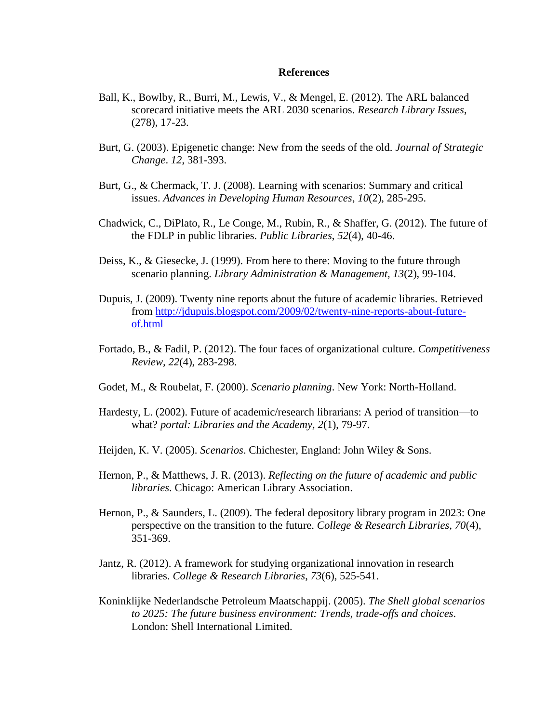#### **References**

- Ball, K., Bowlby, R., Burri, M., Lewis, V., & Mengel, E. (2012). The ARL balanced scorecard initiative meets the ARL 2030 scenarios. *Research Library Issues*, (278), 17-23.
- Burt, G. (2003). Epigenetic change: New from the seeds of the old. *Journal of Strategic Change*. *12*, 381-393.
- Burt, G., & Chermack, T. J. (2008). [Learning with scenarios: Summary and critical](http://www.worldcat.org/oclc/437851572)  [issues.](http://www.worldcat.org/oclc/437851572) *Advances in Developing Human Resources*, *10*(2), 285-295.
- Chadwick, C., DiPlato, R., Le Conge, M., Rubin, R., & Shaffer, G. (2012). The future of the FDLP in public libraries. *Public Libraries*, *52*(4), 40-46.
- Deiss, K., & Giesecke, J. (1999). From here to there: Moving to the future through scenario planning. *Library Administration & Management, 13*(2), 99-104.
- Dupuis, J. (2009). Twenty nine reports about the future of academic libraries. Retrieved from [http://jdupuis.blogspot.com/2009/02/twenty-nine-reports-about-future](http://jdupuis.blogspot.com/2009/02/twenty-nine-reports-about-future-of.html)[of.html](http://jdupuis.blogspot.com/2009/02/twenty-nine-reports-about-future-of.html)
- Fortado, B., & Fadil, P. (2012). The four faces of organizational culture. *Competitiveness Review, 22*(4), 283-298.
- Godet, M., & Roubelat, F. (2000). *[Scenario planning](http://www.worldcat.org/oclc/45345386)*. New York: North-Holland.
- Hardesty, L. (2002). Future of academic/research librarians: A period of transition—to what? *portal: Libraries and the Academy, 2*(1), 79-97.
- Heijden, K. V. (2005). *Scenarios*. Chichester, England: John Wiley & Sons.
- Hernon, P., & Matthews, J. R. (2013). *Reflecting on the future of academic and public libraries*. Chicago: American Library Association.
- Hernon, P., & Saunders, L. (2009). The federal depository library program in 2023: One perspective on the transition to the future. *College & Research Libraries, 70*(4), 351-369.
- Jantz, R. (2012). A framework for studying organizational innovation in research libraries. *College & Research Libraries*, *73*(6), 525-541.
- Koninklijke Nederlandsche Petroleum Maatschappij. (2005). *The Shell global scenarios to 2025: The future business environment: Trends, trade-offs and choices*. London: Shell International Limited.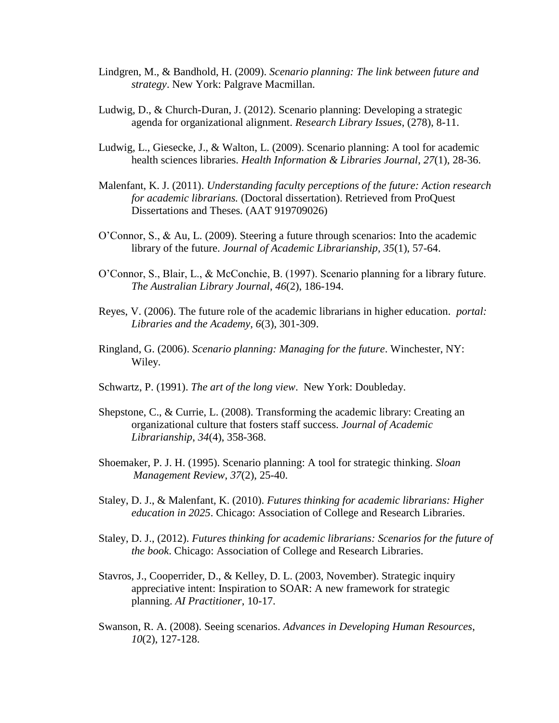- Lindgren, M., & Bandhold, H. (2009). *Scenario planning: The link between future and strategy*. New York: Palgrave Macmillan.
- Ludwig, D., & Church-Duran, J. (2012). Scenario planning: Developing a strategic agenda for organizational alignment. *Research Library Issues*, (278), 8-11.
- Ludwig, L., Giesecke, J., & Walton, L. (2009). Scenario planning: A tool for academic health sciences libraries. *Health Information & Libraries Journal*, *27*(1), 28-36.
- Malenfant, K. J. (2011). *Understanding faculty perceptions of the future: Action research for academic librarians.* (Doctoral dissertation). Retrieved from ProQuest Dissertations and Theses*.* (AAT 919709026)
- O'Connor, S., & Au, L. (2009). Steering a future through scenarios: Into the academic library of the future. *Journal of Academic Librarianship, 35*(1), 57-64.
- O'Connor, S., Blair, L., & McConchie, B. (1997). Scenario planning for a library future. *The Australian Library Journal*, *46*(2), 186-194.
- Reyes, V. (2006). The future role of the academic librarians in higher education. *portal: Libraries and the Academy, 6*(3), 301-309.
- Ringland, G. (2006). *Scenario planning: Managing for the future*. Winchester, NY: Wiley.
- Schwartz, P. (1991). *The art of the long view*. New York: Doubleday.
- Shepstone, C., & Currie, L. (2008). Transforming the academic library: Creating an organizational culture that fosters staff success. *Journal of Academic Librarianship*, *34*(4), 358-368.
- Shoemaker, P. J. H. (1995). Scenario planning: A tool for strategic thinking. *Sloan Management Review*, *37*(2), 25-40.
- Staley, D. J., & Malenfant, K. (2010). *Futures thinking for academic librarians: Higher education in 2025*. Chicago: Association of College and Research Libraries.
- Staley, D. J., (2012). *Futures thinking for academic librarians: Scenarios for the future of the book*. Chicago: Association of College and Research Libraries.
- Stavros, J., Cooperrider, D., & Kelley, D. L. (2003, November). Strategic inquiry appreciative intent: Inspiration to SOAR: A new framework for strategic planning. *AI Practitioner*, 10-17.
- Swanson, R. A. (2008). Seeing scenarios. *Advances in Developing Human Resources*, *10*(2), 127-128.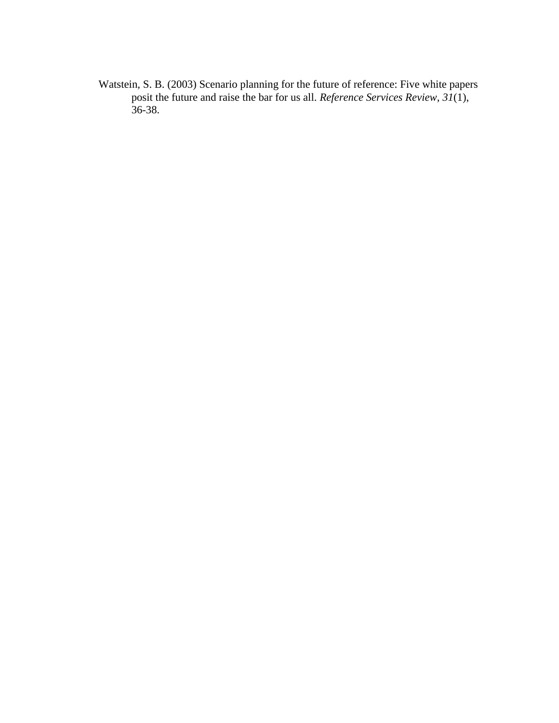Watstein, S. B. (2003) Scenario planning for the future of reference: Five white papers posit the future and raise the bar for us all. *Reference Services Review, 31*(1), 36-38.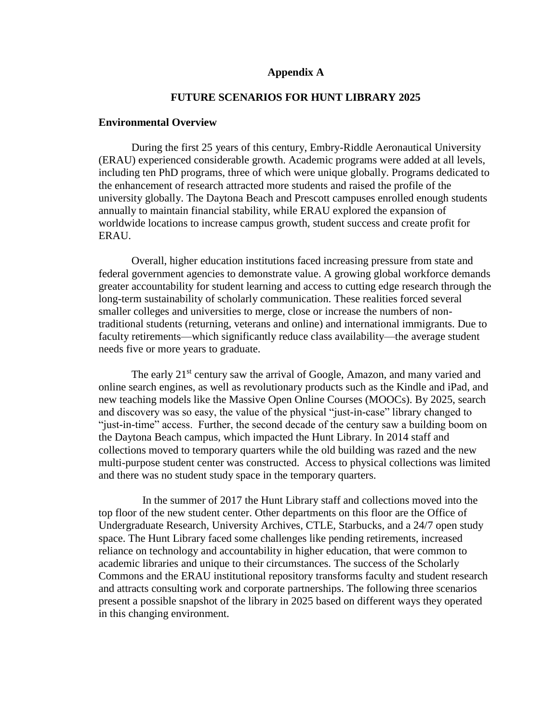#### **Appendix A**

#### **FUTURE SCENARIOS FOR HUNT LIBRARY 2025**

#### **Environmental Overview**

During the first 25 years of this century, Embry-Riddle Aeronautical University (ERAU) experienced considerable growth. Academic programs were added at all levels, including ten PhD programs, three of which were unique globally. Programs dedicated to the enhancement of research attracted more students and raised the profile of the university globally. The Daytona Beach and Prescott campuses enrolled enough students annually to maintain financial stability, while ERAU explored the expansion of worldwide locations to increase campus growth, student success and create profit for ERAU.

Overall, higher education institutions faced increasing pressure from state and federal government agencies to demonstrate value. A growing global workforce demands greater accountability for student learning and access to cutting edge research through the long-term sustainability of scholarly communication. These realities forced several smaller colleges and universities to merge, close or increase the numbers of nontraditional students (returning, veterans and online) and international immigrants. Due to faculty retirements—which significantly reduce class availability—the average student needs five or more years to graduate.

The early 21<sup>st</sup> century saw the arrival of Google, Amazon, and many varied and online search engines, as well as revolutionary products such as the Kindle and iPad, and new teaching models like the Massive Open Online Courses (MOOCs). By 2025, search and discovery was so easy, the value of the physical "just-in-case" library changed to "just-in-time" access. Further, the second decade of the century saw a building boom on the Daytona Beach campus, which impacted the Hunt Library. In 2014 staff and collections moved to temporary quarters while the old building was razed and the new multi-purpose student center was constructed. Access to physical collections was limited and there was no student study space in the temporary quarters.

 In the summer of 2017 the Hunt Library staff and collections moved into the top floor of the new student center. Other departments on this floor are the Office of Undergraduate Research, University Archives, CTLE, Starbucks, and a 24/7 open study space. The Hunt Library faced some challenges like pending retirements, increased reliance on technology and accountability in higher education, that were common to academic libraries and unique to their circumstances. The success of the Scholarly Commons and the ERAU institutional repository transforms faculty and student research and attracts consulting work and corporate partnerships. The following three scenarios present a possible snapshot of the library in 2025 based on different ways they operated in this changing environment.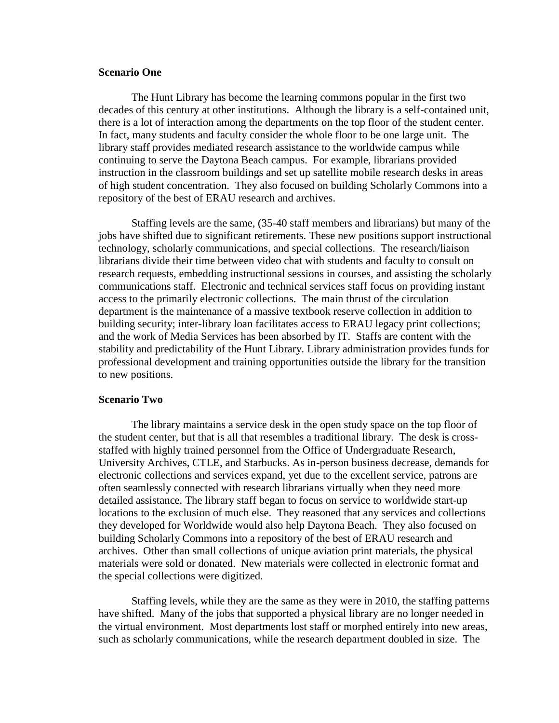#### **Scenario One**

The Hunt Library has become the learning commons popular in the first two decades of this century at other institutions. Although the library is a self-contained unit, there is a lot of interaction among the departments on the top floor of the student center. In fact, many students and faculty consider the whole floor to be one large unit. The library staff provides mediated research assistance to the worldwide campus while continuing to serve the Daytona Beach campus. For example, librarians provided instruction in the classroom buildings and set up satellite mobile research desks in areas of high student concentration. They also focused on building Scholarly Commons into a repository of the best of ERAU research and archives.

Staffing levels are the same, (35-40 staff members and librarians) but many of the jobs have shifted due to significant retirements. These new positions support instructional technology, scholarly communications, and special collections. The research/liaison librarians divide their time between video chat with students and faculty to consult on research requests, embedding instructional sessions in courses, and assisting the scholarly communications staff. Electronic and technical services staff focus on providing instant access to the primarily electronic collections. The main thrust of the circulation department is the maintenance of a massive textbook reserve collection in addition to building security; inter-library loan facilitates access to ERAU legacy print collections; and the work of Media Services has been absorbed by IT. Staffs are content with the stability and predictability of the Hunt Library. Library administration provides funds for professional development and training opportunities outside the library for the transition to new positions.

#### **Scenario Two**

The library maintains a service desk in the open study space on the top floor of the student center, but that is all that resembles a traditional library. The desk is crossstaffed with highly trained personnel from the Office of Undergraduate Research, University Archives, CTLE, and Starbucks. As in-person business decrease, demands for electronic collections and services expand, yet due to the excellent service, patrons are often seamlessly connected with research librarians virtually when they need more detailed assistance. The library staff began to focus on service to worldwide start-up locations to the exclusion of much else. They reasoned that any services and collections they developed for Worldwide would also help Daytona Beach. They also focused on building Scholarly Commons into a repository of the best of ERAU research and archives. Other than small collections of unique aviation print materials, the physical materials were sold or donated. New materials were collected in electronic format and the special collections were digitized.

Staffing levels, while they are the same as they were in 2010, the staffing patterns have shifted. Many of the jobs that supported a physical library are no longer needed in the virtual environment. Most departments lost staff or morphed entirely into new areas, such as scholarly communications, while the research department doubled in size. The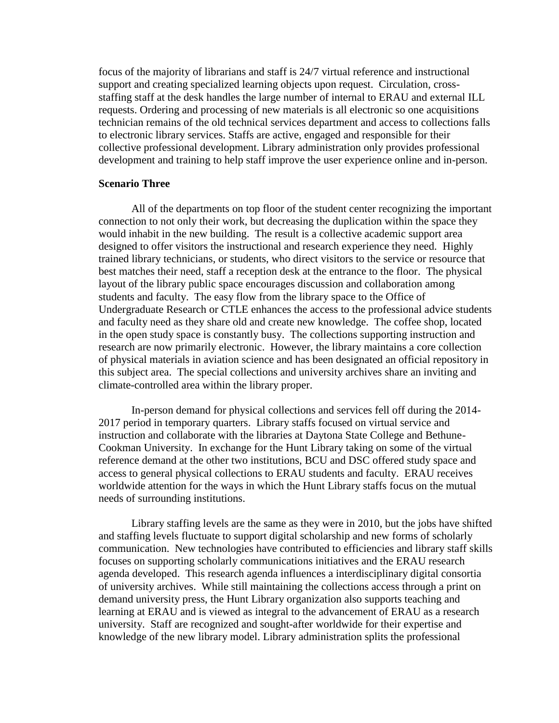focus of the majority of librarians and staff is 24/7 virtual reference and instructional support and creating specialized learning objects upon request. Circulation, crossstaffing staff at the desk handles the large number of internal to ERAU and external ILL requests. Ordering and processing of new materials is all electronic so one acquisitions technician remains of the old technical services department and access to collections falls to electronic library services. Staffs are active, engaged and responsible for their collective professional development. Library administration only provides professional development and training to help staff improve the user experience online and in-person.

#### **Scenario Three**

All of the departments on top floor of the student center recognizing the important connection to not only their work, but decreasing the duplication within the space they would inhabit in the new building. The result is a collective academic support area designed to offer visitors the instructional and research experience they need. Highly trained library technicians, or students, who direct visitors to the service or resource that best matches their need, staff a reception desk at the entrance to the floor. The physical layout of the library public space encourages discussion and collaboration among students and faculty. The easy flow from the library space to the Office of Undergraduate Research or CTLE enhances the access to the professional advice students and faculty need as they share old and create new knowledge. The coffee shop, located in the open study space is constantly busy. The collections supporting instruction and research are now primarily electronic. However, the library maintains a core collection of physical materials in aviation science and has been designated an official repository in this subject area. The special collections and university archives share an inviting and climate-controlled area within the library proper.

In-person demand for physical collections and services fell off during the 2014- 2017 period in temporary quarters. Library staffs focused on virtual service and instruction and collaborate with the libraries at Daytona State College and Bethune-Cookman University. In exchange for the Hunt Library taking on some of the virtual reference demand at the other two institutions, BCU and DSC offered study space and access to general physical collections to ERAU students and faculty. ERAU receives worldwide attention for the ways in which the Hunt Library staffs focus on the mutual needs of surrounding institutions.

Library staffing levels are the same as they were in 2010, but the jobs have shifted and staffing levels fluctuate to support digital scholarship and new forms of scholarly communication. New technologies have contributed to efficiencies and library staff skills focuses on supporting scholarly communications initiatives and the ERAU research agenda developed. This research agenda influences a interdisciplinary digital consortia of university archives. While still maintaining the collections access through a print on demand university press, the Hunt Library organization also supports teaching and learning at ERAU and is viewed as integral to the advancement of ERAU as a research university. Staff are recognized and sought-after worldwide for their expertise and knowledge of the new library model. Library administration splits the professional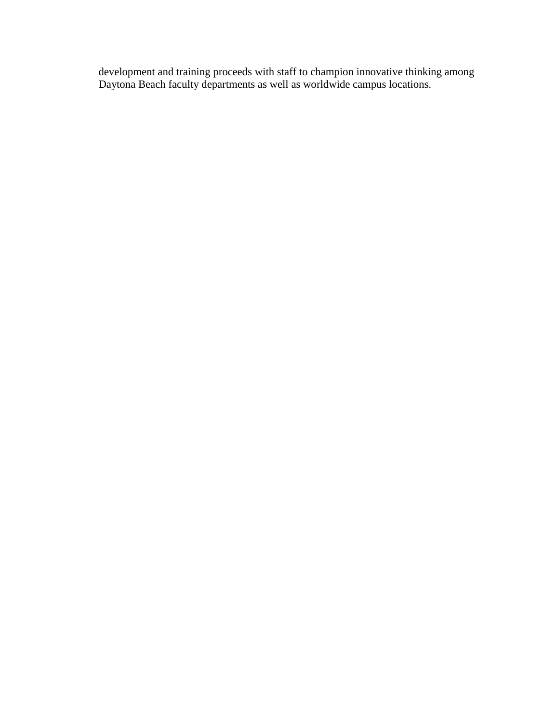development and training proceeds with staff to champion innovative thinking among Daytona Beach faculty departments as well as worldwide campus locations.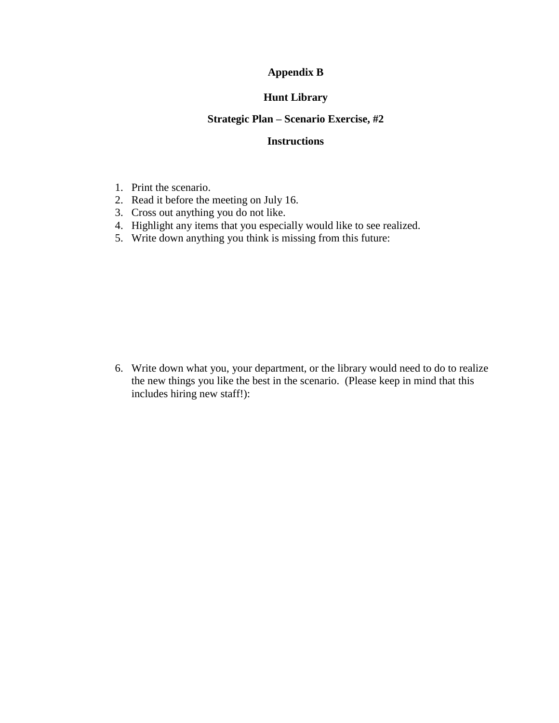## **Appendix B**

### **Hunt Library**

### **Strategic Plan – Scenario Exercise, #2**

### **Instructions**

- 1. Print the scenario.
- 2. Read it before the meeting on July 16.
- 3. Cross out anything you do not like.
- 4. Highlight any items that you especially would like to see realized.
- 5. Write down anything you think is missing from this future:

6. Write down what you, your department, or the library would need to do to realize the new things you like the best in the scenario. (Please keep in mind that this includes hiring new staff!):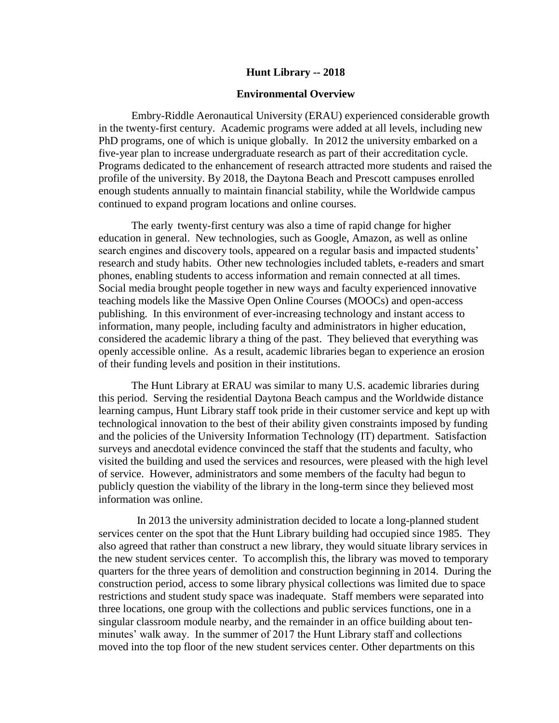#### **Hunt Library -- 2018**

#### **Environmental Overview**

Embry-Riddle Aeronautical University (ERAU) experienced considerable growth in the twenty-first century. Academic programs were added at all levels, including new PhD programs, one of which is unique globally. In 2012 the university embarked on a five-year plan to increase undergraduate research as part of their accreditation cycle. Programs dedicated to the enhancement of research attracted more students and raised the profile of the university. By 2018, the Daytona Beach and Prescott campuses enrolled enough students annually to maintain financial stability, while the Worldwide campus continued to expand program locations and online courses.

The early twenty-first century was also a time of rapid change for higher education in general. New technologies, such as Google, Amazon, as well as online search engines and discovery tools, appeared on a regular basis and impacted students' research and study habits. Other new technologies included tablets, e-readers and smart phones, enabling students to access information and remain connected at all times. Social media brought people together in new ways and faculty experienced innovative teaching models like the Massive Open Online Courses (MOOCs) and open-access publishing. In this environment of ever-increasing technology and instant access to information, many people, including faculty and administrators in higher education, considered the academic library a thing of the past. They believed that everything was openly accessible online. As a result, academic libraries began to experience an erosion of their funding levels and position in their institutions.

The Hunt Library at ERAU was similar to many U.S. academic libraries during this period. Serving the residential Daytona Beach campus and the Worldwide distance learning campus, Hunt Library staff took pride in their customer service and kept up with technological innovation to the best of their ability given constraints imposed by funding and the policies of the University Information Technology (IT) department. Satisfaction surveys and anecdotal evidence convinced the staff that the students and faculty, who visited the building and used the services and resources, were pleased with the high level of service. However, administrators and some members of the faculty had begun to publicly question the viability of the library in the long-term since they believed most information was online.

 In 2013 the university administration decided to locate a long-planned student services center on the spot that the Hunt Library building had occupied since 1985. They also agreed that rather than construct a new library, they would situate library services in the new student services center. To accomplish this, the library was moved to temporary quarters for the three years of demolition and construction beginning in 2014. During the construction period, access to some library physical collections was limited due to space restrictions and student study space was inadequate. Staff members were separated into three locations, one group with the collections and public services functions, one in a singular classroom module nearby, and the remainder in an office building about tenminutes' walk away. In the summer of 2017 the Hunt Library staff and collections moved into the top floor of the new student services center. Other departments on this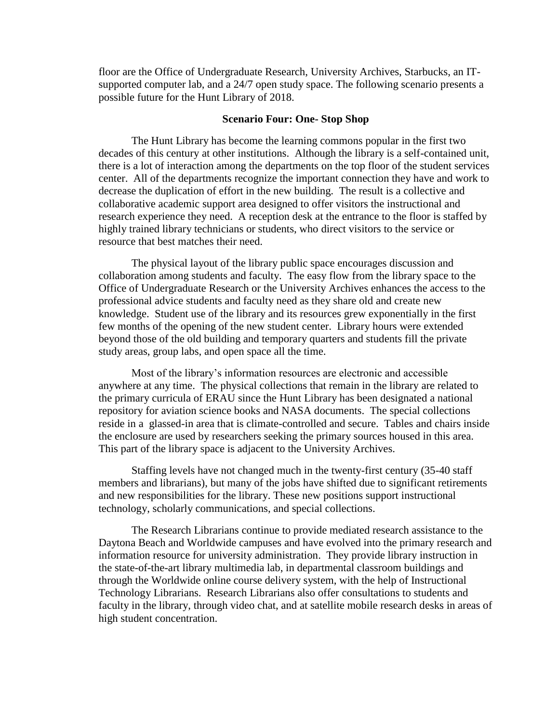floor are the Office of Undergraduate Research, University Archives, Starbucks, an ITsupported computer lab, and a 24/7 open study space. The following scenario presents a possible future for the Hunt Library of 2018.

#### **Scenario Four: One- Stop Shop**

The Hunt Library has become the learning commons popular in the first two decades of this century at other institutions. Although the library is a self-contained unit, there is a lot of interaction among the departments on the top floor of the student services center. All of the departments recognize the important connection they have and work to decrease the duplication of effort in the new building. The result is a collective and collaborative academic support area designed to offer visitors the instructional and research experience they need. A reception desk at the entrance to the floor is staffed by highly trained library technicians or students, who direct visitors to the service or resource that best matches their need.

The physical layout of the library public space encourages discussion and collaboration among students and faculty. The easy flow from the library space to the Office of Undergraduate Research or the University Archives enhances the access to the professional advice students and faculty need as they share old and create new knowledge. Student use of the library and its resources grew exponentially in the first few months of the opening of the new student center. Library hours were extended beyond those of the old building and temporary quarters and students fill the private study areas, group labs, and open space all the time.

Most of the library's information resources are electronic and accessible anywhere at any time. The physical collections that remain in the library are related to the primary curricula of ERAU since the Hunt Library has been designated a national repository for aviation science books and NASA documents. The special collections reside in a glassed-in area that is climate-controlled and secure. Tables and chairs inside the enclosure are used by researchers seeking the primary sources housed in this area. This part of the library space is adjacent to the University Archives.

Staffing levels have not changed much in the twenty-first century (35-40 staff members and librarians), but many of the jobs have shifted due to significant retirements and new responsibilities for the library. These new positions support instructional technology, scholarly communications, and special collections.

The Research Librarians continue to provide mediated research assistance to the Daytona Beach and Worldwide campuses and have evolved into the primary research and information resource for university administration. They provide library instruction in the state-of-the-art library multimedia lab, in departmental classroom buildings and through the Worldwide online course delivery system, with the help of Instructional Technology Librarians. Research Librarians also offer consultations to students and faculty in the library, through video chat, and at satellite mobile research desks in areas of high student concentration.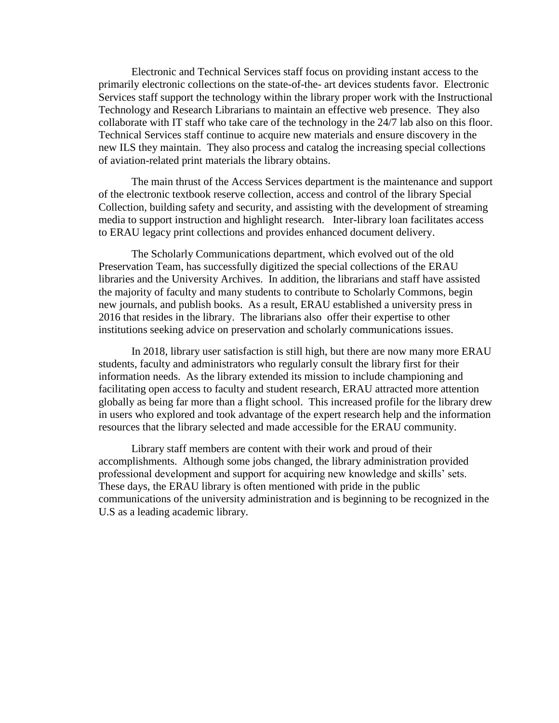Electronic and Technical Services staff focus on providing instant access to the primarily electronic collections on the state-of-the- art devices students favor. Electronic Services staff support the technology within the library proper work with the Instructional Technology and Research Librarians to maintain an effective web presence. They also collaborate with IT staff who take care of the technology in the 24/7 lab also on this floor. Technical Services staff continue to acquire new materials and ensure discovery in the new ILS they maintain. They also process and catalog the increasing special collections of aviation-related print materials the library obtains.

The main thrust of the Access Services department is the maintenance and support of the electronic textbook reserve collection, access and control of the library Special Collection, building safety and security, and assisting with the development of streaming media to support instruction and highlight research. Inter-library loan facilitates access to ERAU legacy print collections and provides enhanced document delivery.

The Scholarly Communications department, which evolved out of the old Preservation Team, has successfully digitized the special collections of the ERAU libraries and the University Archives. In addition, the librarians and staff have assisted the majority of faculty and many students to contribute to Scholarly Commons, begin new journals, and publish books. As a result, ERAU established a university press in 2016 that resides in the library. The librarians also offer their expertise to other institutions seeking advice on preservation and scholarly communications issues.

In 2018, library user satisfaction is still high, but there are now many more ERAU students, faculty and administrators who regularly consult the library first for their information needs. As the library extended its mission to include championing and facilitating open access to faculty and student research, ERAU attracted more attention globally as being far more than a flight school. This increased profile for the library drew in users who explored and took advantage of the expert research help and the information resources that the library selected and made accessible for the ERAU community.

Library staff members are content with their work and proud of their accomplishments. Although some jobs changed, the library administration provided professional development and support for acquiring new knowledge and skills' sets. These days, the ERAU library is often mentioned with pride in the public communications of the university administration and is beginning to be recognized in the U.S as a leading academic library.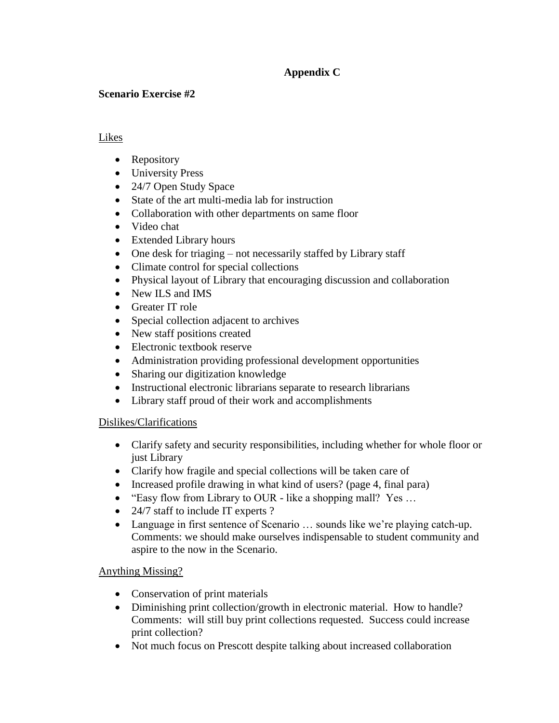# **Appendix C**

### **Scenario Exercise #2**

### Likes

- Repository
- University Press
- 24/7 Open Study Space
- State of the art multi-media lab for instruction
- Collaboration with other departments on same floor
- Video chat
- Extended Library hours
- One desk for triaging not necessarily staffed by Library staff
- Climate control for special collections
- Physical layout of Library that encouraging discussion and collaboration
- New ILS and IMS
- Greater IT role
- Special collection adjacent to archives
- New staff positions created
- Electronic textbook reserve
- Administration providing professional development opportunities
- Sharing our digitization knowledge
- Instructional electronic librarians separate to research librarians
- Library staff proud of their work and accomplishments

# Dislikes/Clarifications

- Clarify safety and security responsibilities, including whether for whole floor or just Library
- Clarify how fragile and special collections will be taken care of
- Increased profile drawing in what kind of users? (page 4, final para)
- "Easy flow from Library to OUR like a shopping mall? Yes ...
- 24/7 staff to include IT experts ?
- Language in first sentence of Scenario … sounds like we're playing catch-up. Comments: we should make ourselves indispensable to student community and aspire to the now in the Scenario.

# Anything Missing?

- Conservation of print materials
- Diminishing print collection/growth in electronic material. How to handle? Comments: will still buy print collections requested. Success could increase print collection?
- Not much focus on Prescott despite talking about increased collaboration